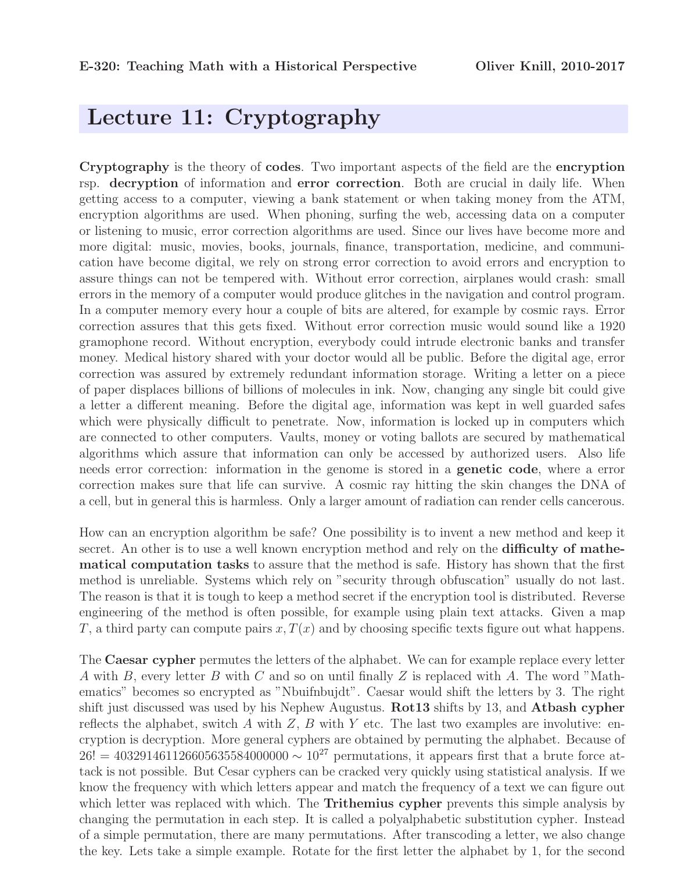## Lecture 11: Cryptography

Cryptography is the theory of codes. Two important aspects of the field are the encryption rsp. decryption of information and error correction. Both are crucial in daily life. When getting access to a computer, viewing a bank statement or when taking money from the ATM, encryption algorithms are used. When phoning, surfing the web, accessing data on a computer or listening to music, error correction algorithms are used. Since our lives have become more and more digital: music, movies, books, journals, finance, transportation, medicine, and communication have become digital, we rely on strong error correction to avoid errors and encryption to assure things can not be tempered with. Without error correction, airplanes would crash: small errors in the memory of a computer would produce glitches in the navigation and control program. In a computer memory every hour a couple of bits are altered, for example by cosmic rays. Error correction assures that this gets fixed. Without error correction music would sound like a 1920 gramophone record. Without encryption, everybody could intrude electronic banks and transfer money. Medical history shared with your doctor would all be public. Before the digital age, error correction was assured by extremely redundant information storage. Writing a letter on a piece of paper displaces billions of billions of molecules in ink. Now, changing any single bit could give a letter a different meaning. Before the digital age, information was kept in well guarded safes which were physically difficult to penetrate. Now, information is locked up in computers which are connected to other computers. Vaults, money or voting ballots are secured by mathematical algorithms which assure that information can only be accessed by authorized users. Also life needs error correction: information in the genome is stored in a genetic code, where a error correction makes sure that life can survive. A cosmic ray hitting the skin changes the DNA of a cell, but in general this is harmless. Only a larger amount of radiation can render cells cancerous.

How can an encryption algorithm be safe? One possibility is to invent a new method and keep it secret. An other is to use a well known encryption method and rely on the **difficulty of mathe**matical computation tasks to assure that the method is safe. History has shown that the first method is unreliable. Systems which rely on "security through obfuscation" usually do not last. The reason is that it is tough to keep a method secret if the encryption tool is distributed. Reverse engineering of the method is often possible, for example using plain text attacks. Given a map T, a third party can compute pairs  $x, T(x)$  and by choosing specific texts figure out what happens.

The Caesar cypher permutes the letters of the alphabet. We can for example replace every letter A with B, every letter B with C and so on until finally Z is replaced with A. The word "Mathematics" becomes so encrypted as "Nbuifnbujdt". Caesar would shift the letters by 3. The right shift just discussed was used by his Nephew Augustus. Rot13 shifts by 13, and Atbash cypher reflects the alphabet, switch A with  $Z$ , B with Y etc. The last two examples are involutive: encryption is decryption. More general cyphers are obtained by permuting the alphabet. Because of  $26! = 403291461126605635584000000 \sim 10^{27}$  permutations, it appears first that a brute force attack is not possible. But Cesar cyphers can be cracked very quickly using statistical analysis. If we know the frequency with which letters appear and match the frequency of a text we can figure out which letter was replaced with which. The **Trithemius cypher** prevents this simple analysis by changing the permutation in each step. It is called a polyalphabetic substitution cypher. Instead of a simple permutation, there are many permutations. After transcoding a letter, we also change the key. Lets take a simple example. Rotate for the first letter the alphabet by 1, for the second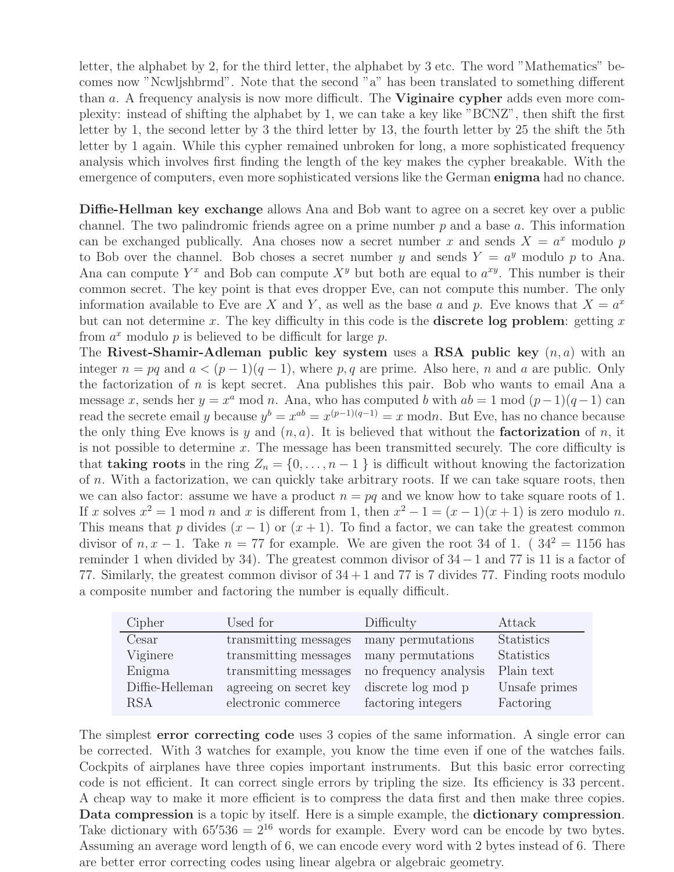letter, the alphabet by 2, for the third letter, the alphabet by 3 etc. The word "Mathematics" becomes now "Ncwljshbrmd". Note that the second "a" has been translated to something different than a. A frequency analysis is now more difficult. The **Viginaire cypher** adds even more complexity: instead of shifting the alphabet by 1, we can take a key like "BCNZ", then shift the first letter by 1, the second letter by 3 the third letter by 13, the fourth letter by 25 the shift the 5th letter by 1 again. While this cypher remained unbroken for long, a more sophisticated frequency analysis which involves first finding the length of the key makes the cypher breakable. With the emergence of computers, even more sophisticated versions like the German **enigma** had no chance.

Diffie-Hellman key exchange allows Ana and Bob want to agree on a secret key over a public channel. The two palindromic friends agree on a prime number  $p$  and a base  $a$ . This information can be exchanged publically. Ana choses now a secret number x and sends  $X = a^x$  modulo p to Bob over the channel. Bob choses a secret number y and sends  $Y = a^y$  modulo p to Ana. Ana can compute  $Y^x$  and Bob can compute  $X^y$  but both are equal to  $a^{xy}$ . This number is their common secret. The key point is that eves dropper Eve, can not compute this number. The only information available to Eve are X and Y, as well as the base a and p. Eve knows that  $X = a^x$ but can not determine x. The key difficulty in this code is the **discrete log problem**: getting x from  $a^x$  modulo p is believed to be difficult for large p.

The Rivest-Shamir-Adleman public key system uses a RSA public key  $(n, a)$  with an integer  $n = pq$  and  $a < (p-1)(q-1)$ , where p, q are prime. Also here, n and a are public. Only the factorization of  $n$  is kept secret. Ana publishes this pair. Bob who wants to email Ana a message x, sends her  $y = x^a \mod n$ . Ana, who has computed b with  $ab = 1 \mod (p-1)(q-1)$  can read the secrete email y because  $y^b = x^{ab} = x^{(p-1)(q-1)} = x \mod n$ . But Eve, has no chance because the only thing Eve knows is y and  $(n, a)$ . It is believed that without the **factorization** of n, it is not possible to determine  $x$ . The message has been transmitted securely. The core difficulty is that **taking roots** in the ring  $Z_n = \{0, \ldots, n-1\}$  is difficult without knowing the factorization of n. With a factorization, we can quickly take arbitrary roots. If we can take square roots, then we can also factor: assume we have a product  $n = pq$  and we know how to take square roots of 1. If x solves  $x^2 = 1 \text{ mod } n$  and x is different from 1, then  $x^2 - 1 = (x - 1)(x + 1)$  is zero modulo n. This means that p divides  $(x - 1)$  or  $(x + 1)$ . To find a factor, we can take the greatest common divisor of  $n, x - 1$ . Take  $n = 77$  for example. We are given the root 34 of 1. (34<sup>2</sup> = 1156 has reminder 1 when divided by 34). The greatest common divisor of 34−1 and 77 is 11 is a factor of 77. Similarly, the greatest common divisor of 34 + 1 and 77 is 7 divides 77. Finding roots modulo a composite number and factoring the number is equally difficult.

| Cipher          | Used for               | Difficulty            | Attack            |
|-----------------|------------------------|-----------------------|-------------------|
| Cesar           | transmitting messages  | many permutations     | <b>Statistics</b> |
| Viginere        | transmitting messages  | many permutations     | Statistics        |
| Enigma          | transmitting messages  | no frequency analysis | Plain text        |
| Diffie-Helleman | agreeing on secret key | discrete log mod p    | Unsafe primes     |
| <b>RSA</b>      | electronic commerce    | factoring integers    | Factoring         |

The simplest **error correcting code** uses 3 copies of the same information. A single error can be corrected. With 3 watches for example, you know the time even if one of the watches fails. Cockpits of airplanes have three copies important instruments. But this basic error correcting code is not efficient. It can correct single errors by tripling the size. Its efficiency is 33 percent. A cheap way to make it more efficient is to compress the data first and then make three copies. Data compression is a topic by itself. Here is a simple example, the dictionary compression. Take dictionary with  $65'536 = 2^{16}$  words for example. Every word can be encode by two bytes. Assuming an average word length of 6, we can encode every word with 2 bytes instead of 6. There are better error correcting codes using linear algebra or algebraic geometry.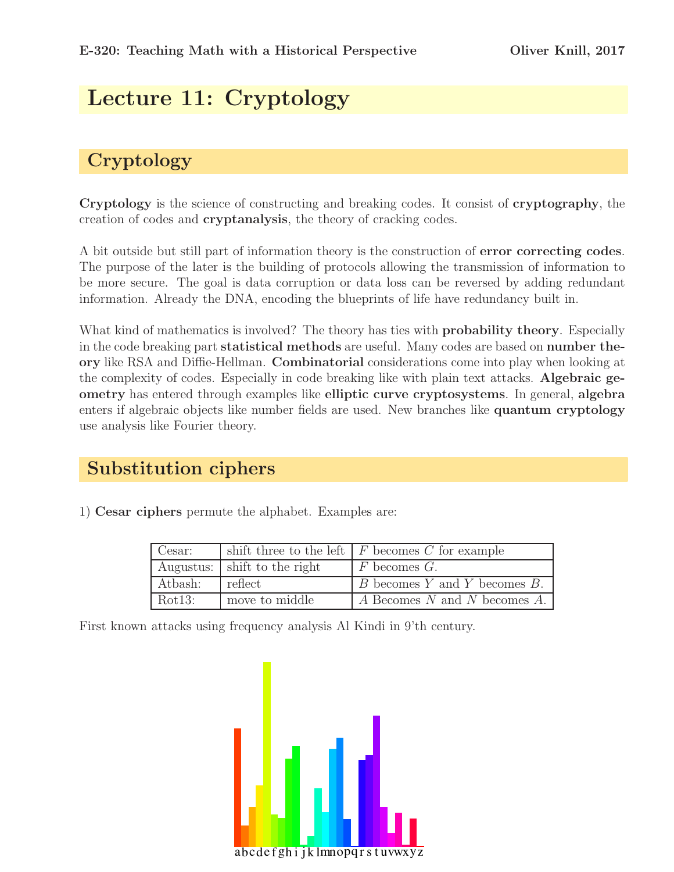# Lecture 11: Cryptology

## Cryptology

Cryptology is the science of constructing and breaking codes. It consist of cryptography, the creation of codes and cryptanalysis, the theory of cracking codes.

A bit outside but still part of information theory is the construction of error correcting codes. The purpose of the later is the building of protocols allowing the transmission of information to be more secure. The goal is data corruption or data loss can be reversed by adding redundant information. Already the DNA, encoding the blueprints of life have redundancy built in.

What kind of mathematics is involved? The theory has ties with **probability theory**. Especially in the code breaking part statistical methods are useful. Many codes are based on number theory like RSA and Diffie-Hellman. Combinatorial considerations come into play when looking at the complexity of codes. Especially in code breaking like with plain text attacks. Algebraic geometry has entered through examples like elliptic curve cryptosystems. In general, algebra enters if algebraic objects like number fields are used. New branches like quantum cryptology use analysis like Fourier theory.

#### Substitution ciphers

1) Cesar ciphers permute the alphabet. Examples are:

| Cesar:  |                              | shift three to the left $\mid F$ becomes C for example |
|---------|------------------------------|--------------------------------------------------------|
|         | Augustus: shift to the right | $F$ becomes $G$ .                                      |
| Atbash: | reflect                      | $B$ becomes $Y$ and $Y$ becomes $B$ .                  |
| Rot13:  | move to middle               | A Becomes N and N becomes A.                           |

First known attacks using frequency analysis Al Kindi in 9'th century.